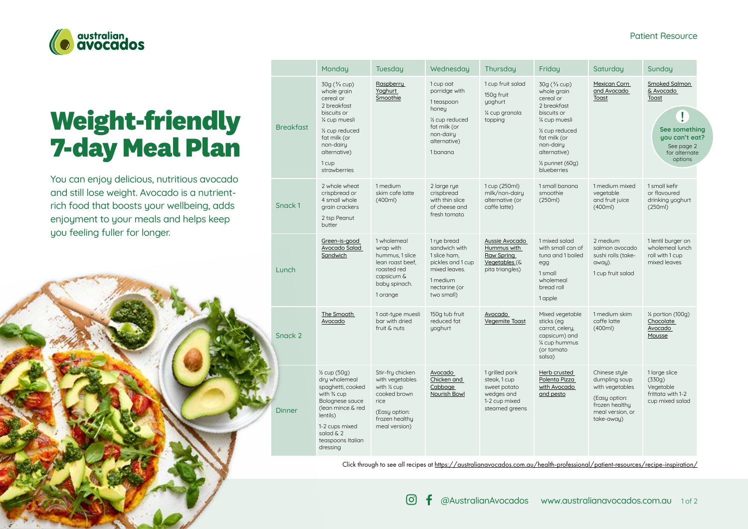

# **Weight-friendly 7-day Meal Plan**

You can enjoy delicious, nutritious avocado and still lose weight. Avocado is a nutrientrich food that boosts your wellbeing, adds enjoyment to your meals and helps keep you feeling fuller for longer.



|                  | Monday                                                                                                                                                                                                    | Tuesday                                                                                                                         | Wednesday                                                                                                                                 | Thursday                                                                                        | Friday                                                                                                                                                                                                                          | Saturday                                                                                                               | Sunday                                                                                                                |
|------------------|-----------------------------------------------------------------------------------------------------------------------------------------------------------------------------------------------------------|---------------------------------------------------------------------------------------------------------------------------------|-------------------------------------------------------------------------------------------------------------------------------------------|-------------------------------------------------------------------------------------------------|---------------------------------------------------------------------------------------------------------------------------------------------------------------------------------------------------------------------------------|------------------------------------------------------------------------------------------------------------------------|-----------------------------------------------------------------------------------------------------------------------|
| <b>Breakfast</b> | $30q$ ( $\frac{2}{3}$ cup)<br>whole grain<br>cereal or<br>2 breakfast<br>biscuits or<br>% cup muesli<br>1/ <sub>2</sub> cup reduced<br>fat milk (or<br>non-dairy<br>alternative)<br>1 cup<br>strawberries | Raspberry<br>Yoghurt<br>Smoothie                                                                                                | 1 cup oat<br>porridge with<br>1 teaspoon<br>honey<br>1/ <sub>2</sub> cup reduced<br>fat milk (or<br>non-dairy<br>alternative)<br>1 banana | 1 cup fruit salad<br>150g fruit<br>yoghurt<br>% cup granola<br>topping                          | $30q$ ( $\frac{2}{3}$ cup)<br>whole grain<br>cereal or<br>2 breakfast<br>biscuits or<br>% cup muesli<br>1/ <sub>2</sub> cup reduced<br>fat milk (or<br>non-dairy<br>alternative)<br>1/ <sub>2</sub> punnet (60g)<br>blueberries | Mexican Corn<br>and Avocado<br>Toast                                                                                   | Smoked Salmon<br>& Avocado<br>Toast<br>Ţ<br>See something<br>you can't eat?<br>See page 2<br>for alternate<br>options |
| Snack 1          | 2 whole wheat<br>crispbread or<br>4 small whole<br>grain crackers<br>2 tsp Peanut<br>butter                                                                                                               | 1 medium<br>skim cafe latte<br>(400ml)                                                                                          | 2 large rue<br>crispbread<br>with thin slice<br>of cheese and<br>fresh tomato                                                             | 1 cup (250ml)<br>milk/non-dairy<br>alternative (or<br>caffe latte)                              | 1 small banana<br>smoothie<br>(250ml)                                                                                                                                                                                           | 1 medium mixed<br>vegetable<br>and fruit juice<br>(400ml)                                                              | 1 small kefir<br>or flavoured<br>drinking yoghurt<br>(250ml)                                                          |
| Lunch            | Green-is-good<br>Avocado Salad<br>Sandwich                                                                                                                                                                | 1 wholemeal<br>wrap with<br>hummus, 1 slice<br>lean roast beef,<br>roasted red<br>capsicum &<br>baby spinach.<br>1 orange       | 1 rue bread<br>sandwich with<br>1 slice ham.<br>pickles and 1 cup<br>mixed leaves.<br>1 medium<br>nectarine (or<br>two small)             | Aussie Avocado<br>Hummus with<br>Raw Spring<br>Vegetables (&<br>pita triangles)                 | 1 mixed salad<br>with small can of<br>tuna and 1 boiled<br>egg<br>1 small<br>wholemeal<br>bread roll<br>1 apple                                                                                                                 | 2 medium<br>salmon avocado<br>sushi rolls (take-<br>away).<br>1 cup fruit salad                                        | 1 lentil burger on<br>wholemeal lunch<br>roll with 1 cup<br>mixed leaves                                              |
| Snack 2          | The Smooth<br>Avocado                                                                                                                                                                                     | 1 oat-type muesli<br>bar with dried<br>fruit & nuts                                                                             | 150g tub fruit<br>reduced fat<br>yoghurt                                                                                                  | Avocado<br><b>Vegemite Toast</b>                                                                | Mixed vegetable<br>sticks (eg<br>carrot, celery,<br>capsicum) and<br>% cup hummus<br>(or tomato<br>salsa)                                                                                                                       | 1 medium skim<br>caffe latte<br>(400ml)                                                                                | 1/ <sub>2</sub> portion (100g)<br>Chocolate<br><b>Avocado</b><br>Mousse                                               |
| <b>Dinner</b>    | 1/ <sub>2</sub> cup (50g)<br>dry wholemeal<br>spaghetti, cooked<br>with % cup<br>Bolognese sauce<br>(lean mince & red<br>lentils)<br>1-2 cups mixed<br>salad & 2<br>teaspoons Italian<br>dressing         | Stir-fry chicken<br>with vegetables<br>with 1/2 cup<br>cooked brown<br>rice<br>(Easy option:<br>frozen healthu<br>meal version) | Avocado<br>Chicken and<br>Cabbage<br>Nourish Bowl                                                                                         | 1 grilled pork<br>steak, 1 cup<br>sweet potato<br>wedges and<br>1-2 cup mixed<br>steamed greens | Herb crusted<br>Polenta Pizza<br>with Avocado<br>and pesto                                                                                                                                                                      | Chinese style<br>dumpling soup<br>with vegetables<br>(Easy option:<br>frozen healthu<br>meal version, or<br>take-away) | 1 large slice<br>(330q)<br>Vegetable<br>frittata with 1-2<br>cup mixed salad                                          |
|                  |                                                                                                                                                                                                           |                                                                                                                                 |                                                                                                                                           |                                                                                                 |                                                                                                                                                                                                                                 |                                                                                                                        |                                                                                                                       |

Click through to see all recipes at [https://australianavocados.com.au/health-professional/patient-resources/recipe-inspiration/](Deliciously nutritious
This meal plan provides adequate daily amounts of vitamins and minerals for optimal health, good fats for a healthy heart and plenty of fibre for a happy gut. The avocado adds a delicious taste as well as  fibre, folate, niacin, potassium, vitamin E, vitamin K, polyphenols and colourful carotenoid pigments.)